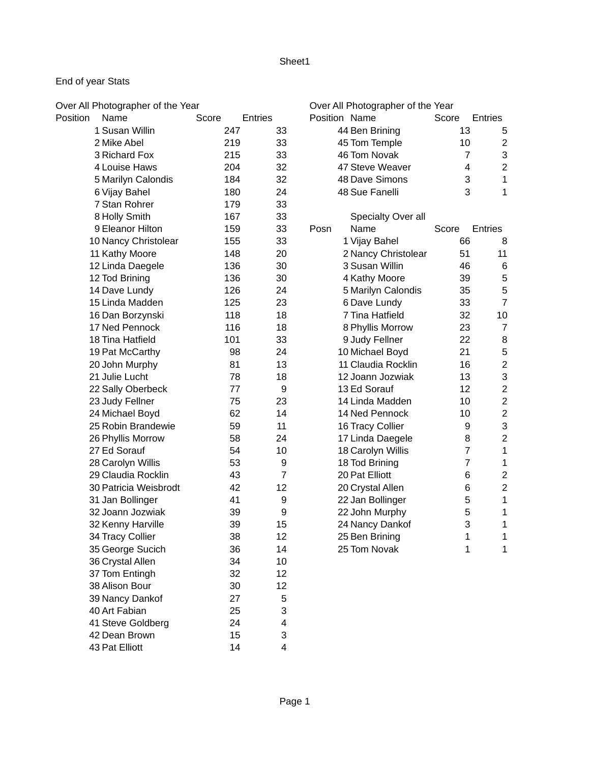# End of year Stats

Over All Photographer of the Year **Over All Photographer of the Year** Over All Photographer of the Year

| Position<br>Name      | Score | <b>Entries</b>   |      | Position Name       | Score | Entries                        |
|-----------------------|-------|------------------|------|---------------------|-------|--------------------------------|
| 1 Susan Willin        | 247   | 33               |      | 44 Ben Brining      | 13    | 5                              |
| 2 Mike Abel           | 219   | 33               |      | 45 Tom Temple       | 10    | $\overline{c}$                 |
| 3 Richard Fox         | 215   | 33               |      | 46 Tom Novak        |       | 3<br>$\overline{7}$            |
| 4 Louise Haws         | 204   | 32               |      | 47 Steve Weaver     |       | $\overline{c}$<br>4            |
| 5 Marilyn Calondis    | 184   | 32               |      | 48 Dave Simons      |       | 3<br>$\mathbf{1}$              |
| 6 Vijay Bahel         | 180   | 24               |      | 48 Sue Fanelli      |       | 3<br>$\overline{1}$            |
| 7 Stan Rohrer         | 179   | 33               |      |                     |       |                                |
| 8 Holly Smith         | 167   | 33               |      | Specialty Over all  |       |                                |
| 9 Eleanor Hilton      | 159   | 33               | Posn | Name                | Score | Entries                        |
| 10 Nancy Christolear  | 155   | 33               |      | 1 Vijay Bahel       | 66    | 8                              |
| 11 Kathy Moore        | 148   | 20               |      | 2 Nancy Christolear | 51    | 11                             |
| 12 Linda Daegele      | 136   | 30               |      | 3 Susan Willin      | 46    | $6\phantom{1}6$                |
| 12 Tod Brining        | 136   | 30               |      | 4 Kathy Moore       | 39    | 5                              |
| 14 Dave Lundy         | 126   | 24               |      | 5 Marilyn Calondis  | 35    | 5                              |
| 15 Linda Madden       | 125   | 23               |      | 6 Dave Lundy        | 33    | $\overline{7}$                 |
| 16 Dan Borzynski      | 118   | 18               |      | 7 Tina Hatfield     | 32    | 10                             |
| 17 Ned Pennock        | 116   | 18               |      | 8 Phyllis Morrow    | 23    | $\overline{7}$                 |
| 18 Tina Hatfield      | 101   | 33               |      | 9 Judy Fellner      | 22    | 8                              |
| 19 Pat McCarthy       | 98    | 24               |      | 10 Michael Boyd     | 21    | 5                              |
| 20 John Murphy        | 81    | 13               |      | 11 Claudia Rocklin  | 16    | $\overline{c}$                 |
| 21 Julie Lucht        | 78    | 18               |      | 12 Joann Jozwiak    | 13    | 3                              |
| 22 Sally Oberbeck     | 77    | $\boldsymbol{9}$ |      | 13 Ed Sorauf        | 12    | $\overline{c}$                 |
| 23 Judy Fellner       | 75    | 23               |      | 14 Linda Madden     | 10    | $\overline{c}$                 |
| 24 Michael Boyd       | 62    | 14               |      | 14 Ned Pennock      | 10    | $\overline{c}$                 |
| 25 Robin Brandewie    | 59    | 11               |      | 16 Tracy Collier    |       | 3<br>9                         |
| 26 Phyllis Morrow     | 58    | 24               |      | 17 Linda Daegele    |       | $\overline{c}$<br>8            |
| 27 Ed Sorauf          | 54    | 10               |      | 18 Carolyn Willis   |       | $\overline{7}$<br>$\mathbf{1}$ |
| 28 Carolyn Willis     | 53    | 9                |      | 18 Tod Brining      |       | $\overline{7}$<br>$\mathbf{1}$ |
| 29 Claudia Rocklin    | 43    | $\overline{7}$   |      | 20 Pat Elliott      |       | $\overline{c}$<br>6            |
| 30 Patricia Weisbrodt | 42    | 12               |      | 20 Crystal Allen    |       | $\overline{c}$<br>6            |
| 31 Jan Bollinger      | 41    | 9                |      | 22 Jan Bollinger    |       | 5<br>$\mathbf{1}$              |
| 32 Joann Jozwiak      | 39    | 9                |      | 22 John Murphy      |       | 5<br>$\mathbf{1}$              |
| 32 Kenny Harville     | 39    | 15               |      | 24 Nancy Dankof     |       | 3<br>$\mathbf{1}$              |
| 34 Tracy Collier      | 38    | 12               |      | 25 Ben Brining      |       | 1<br>$\mathbf{1}$              |
| 35 George Sucich      | 36    | 14               |      | 25 Tom Novak        |       | 1<br>1                         |
| 36 Crystal Allen      | 34    | 10               |      |                     |       |                                |
| 37 Tom Entingh        | 32    | 12               |      |                     |       |                                |
| 38 Alison Bour        | 30    | 12               |      |                     |       |                                |
| 39 Nancy Dankof       | 27    | 5                |      |                     |       |                                |
| 40 Art Fabian         | 25    | 3                |      |                     |       |                                |
| 41 Steve Goldberg     | 24    | 4                |      |                     |       |                                |
| 42 Dean Brown         | 15    | 3                |      |                     |       |                                |
| 43 Pat Elliott        | 14    | 4                |      |                     |       |                                |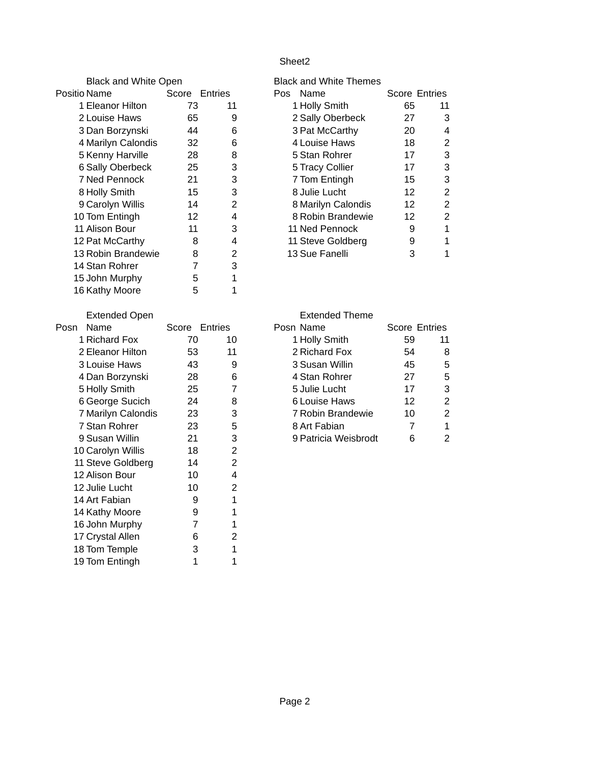| <b>Black and White Open</b> |                |                | <b>Black and White Themes</b> |                      |                |
|-----------------------------|----------------|----------------|-------------------------------|----------------------|----------------|
| Positio Name                | Score Entries  |                | Pos Name                      | <b>Score Entries</b> |                |
| 1 Eleanor Hilton            | 73             | 11             | 1 Holly Smith                 | 65                   | 11             |
| 2 Louise Haws               | 65             | 9              | 2 Sally Oberbeck              | 27                   | 3              |
| 3 Dan Borzynski             | 44             | 6              | 3 Pat McCarthy                | 20                   | 4              |
| 4 Marilyn Calondis          | 32             | 6              | 4 Louise Haws                 | 18                   | $\overline{c}$ |
| 5 Kenny Harville            | 28             | 8              | 5 Stan Rohrer                 | 17                   | 3              |
| 6 Sally Oberbeck            | 25             | 3              | 5 Tracy Collier               | 17                   | 3              |
| 7 Ned Pennock               | 21             | 3              | 7 Tom Entingh                 | 15                   | 3              |
| 8 Holly Smith               | 15             | 3              | 8 Julie Lucht                 | 12                   | $\overline{c}$ |
| 9 Carolyn Willis            | 14             | $\overline{c}$ | 8 Marilyn Calondis            | 12                   | $\overline{c}$ |
| 10 Tom Entingh              | 12             | $\overline{4}$ | 8 Robin Brandewie             | 12                   | $\overline{c}$ |
| 11 Alison Bour              | 11             | 3              | 11 Ned Pennock                | 9                    | $\mathbf{1}$   |
| 12 Pat McCarthy             | 8              | $\overline{4}$ | 11 Steve Goldberg             | 9                    | $\overline{1}$ |
| 13 Robin Brandewie          | 8              | $\overline{c}$ | 13 Sue Fanelli                | 3                    | $\mathbf{1}$   |
| 14 Stan Rohrer              | $\overline{7}$ | 3              |                               |                      |                |
| 15 John Murphy              | 5              | $\mathbf 1$    |                               |                      |                |
| 16 Kathy Moore              | 5              | $\mathbf 1$    |                               |                      |                |
| <b>Extended Open</b>        |                |                | <b>Extended Theme</b>         |                      |                |
| Name<br>Posn                | Score Entries  |                | Posn Name                     | Score Entries        |                |
| 1 Richard Fox               | 70             | 10             | 1 Holly Smith                 | 59                   | 11             |
| 2 Eleanor Hilton            | 53             | 11             | 2 Richard Fox                 | 54                   | 8              |
| 3 Louise Haws               | 43             | 9              | 3 Susan Willin                | 45                   | 5              |
| 4 Dan Borzynski             | 28             | $6\phantom{1}$ | 4 Stan Rohrer                 | 27                   | 5              |
| 5 Holly Smith               | 25             | $\overline{7}$ | 5 Julie Lucht                 | 17                   | 3              |
| 6 George Sucich             | 24             | 8              | <b>6 Louise Haws</b>          | 12                   | $\overline{c}$ |
| 7 Marilyn Calondis          | 23             | 3              | 7 Robin Brandewie             | 10                   | $\overline{c}$ |
| 7 Stan Rohrer               | 23             | 5              | 8 Art Fabian                  | $\overline{7}$       | $\mathbf{1}$   |
| 9 Susan Willin              | 21             | 3              | 9 Patricia Weisbrodt          | 6                    | $\overline{c}$ |
| 10 Carolyn Willis           | 18             | $\overline{c}$ |                               |                      |                |
| 11 Steve Goldberg           | 14             | $\overline{c}$ |                               |                      |                |
| 12 Alison Bour              | 10             | $\overline{4}$ |                               |                      |                |
| 12 Julie Lucht              | 10             | $\overline{c}$ |                               |                      |                |
| 14 Art Fabian               | 9              | $\mathbf 1$    |                               |                      |                |
| 14 Kathy Moore              | 9              | $\mathbf 1$    |                               |                      |                |
| 16 John Murphy              | $\overline{7}$ | $\mathbf 1$    |                               |                      |                |
| 17 Crystal Allen            | 6              | $\overline{c}$ |                               |                      |                |
| 18 Tom Temple               | 3              | $\mathbf 1$    |                               |                      |                |

18 Tom Temple 3 1<br>19 Tom Entingh 1 1

19 Tom Entingh

| lack and White Themes  |                      |    |
|------------------------|----------------------|----|
| Name<br>os             | <b>Score Entries</b> |    |
| 1 Holly Smith          | 65                   | 11 |
| 2 Sally Oberbeck       | 27                   | 3  |
| 3 Pat McCarthy         | 20                   | 4  |
| 4 Louise Haws          | 18                   | 2  |
| 5 Stan Rohrer          | 17                   | 3  |
| <b>5 Tracy Collier</b> | 17                   | 3  |
| 7 Tom Entingh          | 15                   | 3  |
| 8 Julie Lucht          | 12                   | 2  |
| 8 Marilyn Calondis     | 12                   | 2  |
| 8 Robin Brandewie      | 12                   | 2  |
| 11 Ned Pennock         | 9                    | 1  |
| 11 Steve Goldberg      | 9                    | 1  |
| 13 Sue Fanelli         | 3                    |    |
|                        |                      |    |

| <b>Extended Open</b> | <b>Extended Theme</b> |         |                      |    |               |  |
|----------------------|-----------------------|---------|----------------------|----|---------------|--|
| Name                 | Score                 | Entries | Posn Name            |    | Score Entries |  |
| 1 Richard Fox        | 70                    | 10      | 1 Holly Smith        | 59 | 11            |  |
| 2 Eleanor Hilton     | 53                    | 11      | 2 Richard Fox        | 54 | 8             |  |
| 3 Louise Haws        | 43                    | 9       | 3 Susan Willin       | 45 | 5             |  |
| 4 Dan Borzynski      | 28                    | 6       | 4 Stan Rohrer        | 27 | 5             |  |
| 5 Holly Smith        | 25                    |         | 5 Julie Lucht        | 17 | 3             |  |
| 6 George Sucich      | 24                    | 8       | 6 Louise Haws        | 12 | 2             |  |
| 7 Marilyn Calondis   | 23                    | 3       | 7 Robin Brandewie    | 10 | 2             |  |
| 7 Stan Rohrer        | 23                    | 5       | 8 Art Fabian         |    | $\mathbf{1}$  |  |
| 9 Susan Willin       | 21                    | 3       | 9 Patricia Weisbrodt | 6  | 2             |  |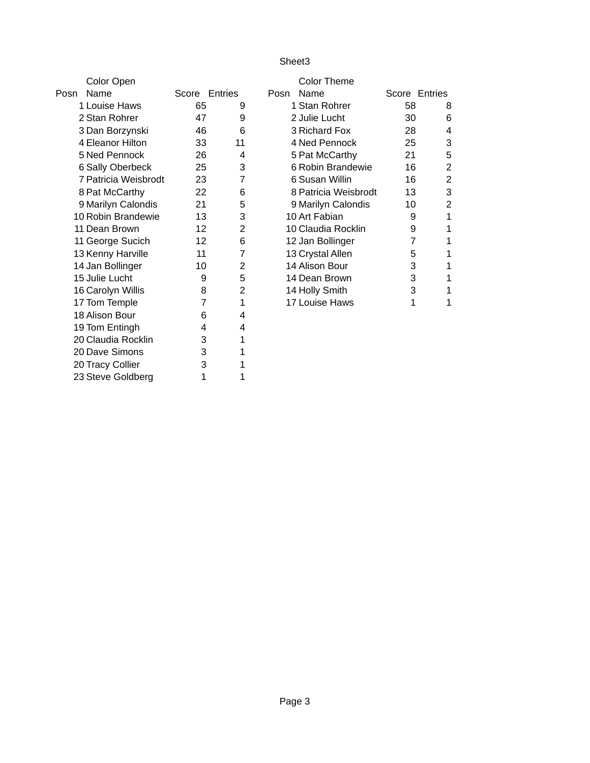|      | Color Open              |    |                |      | <b>Color Theme</b>   |    |                |
|------|-------------------------|----|----------------|------|----------------------|----|----------------|
| Posn | Name                    |    | Score Entries  | Posn | Name                 |    | Score Entries  |
|      | 1 Louise Haws           | 65 | 9              |      | 1 Stan Rohrer        | 58 | 8              |
|      | 2 Stan Rohrer           | 47 | 9              |      | 2 Julie Lucht        | 30 | 6              |
|      | 3 Dan Borzynski         | 46 | 6              |      | 3 Richard Fox        | 28 | 4              |
|      | 4 Eleanor Hilton        | 33 | 11             |      | 4 Ned Pennock        | 25 | 3              |
|      | 5 Ned Pennock           | 26 | 4              |      | 5 Pat McCarthy       | 21 | 5              |
|      | <b>6 Sally Oberbeck</b> | 25 | 3              |      | 6 Robin Brandewie    | 16 | $\overline{2}$ |
|      | 7 Patricia Weisbrodt    | 23 | 7              |      | 6 Susan Willin       | 16 | $\overline{2}$ |
|      | 8 Pat McCarthy          | 22 | 6              |      | 8 Patricia Weisbrodt | 13 | 3              |
|      | 9 Marilyn Calondis      | 21 | 5              |      | 9 Marilyn Calondis   | 10 | $\overline{2}$ |
|      | 10 Robin Brandewie      | 13 | 3              |      | 10 Art Fabian        | 9  | 1              |
|      | 11 Dean Brown           | 12 | 2              |      | 10 Claudia Rocklin   | 9  | 1              |
|      | 11 George Sucich        | 12 | 6              |      | 12 Jan Bollinger     | 7  | 1              |
|      | 13 Kenny Harville       | 11 | $\overline{7}$ |      | 13 Crystal Allen     | 5  | $\mathbf{1}$   |
|      | 14 Jan Bollinger        | 10 | 2              |      | 14 Alison Bour       | 3  | 1              |
|      | 15 Julie Lucht          | 9  | 5              |      | 14 Dean Brown        | 3  | 1              |
|      | 16 Carolyn Willis       | 8  | $\overline{c}$ |      | 14 Holly Smith       | 3  | 1              |
|      | 17 Tom Temple           | 7  | $\mathbf{1}$   |      | 17 Louise Haws       | 1  | 1              |
|      | 18 Alison Bour          | 6  | 4              |      |                      |    |                |
|      | 19 Tom Entingh          | 4  | 4              |      |                      |    |                |
|      | 20 Claudia Rocklin      | 3  | 1              |      |                      |    |                |
|      | 20 Dave Simons          | 3  | 1              |      |                      |    |                |
|      | 20 Tracy Collier        | 3  | 1              |      |                      |    |                |

23 Steve Goldberg 1 1 1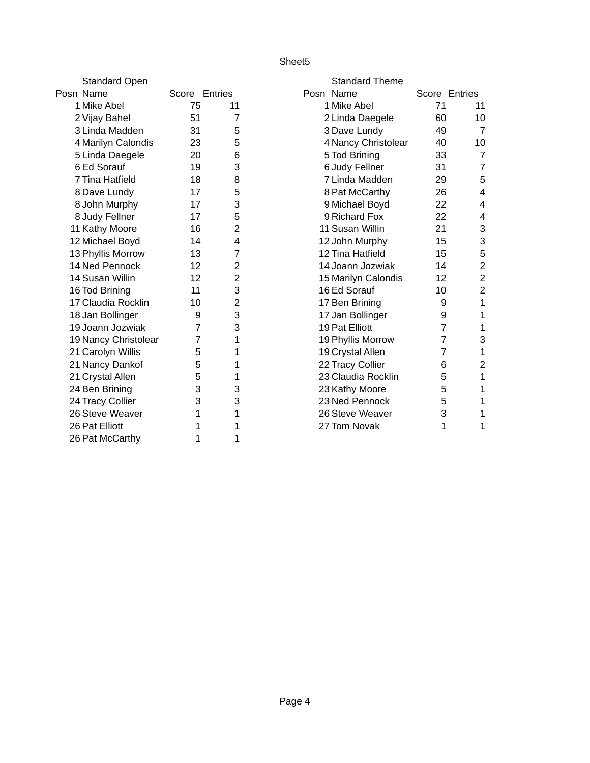| <b>Standard Open</b> |               |                | <b>Standard Theme</b> |                |                |
|----------------------|---------------|----------------|-----------------------|----------------|----------------|
| Posn Name            | Score Entries |                | Posn Name             | Score Entries  |                |
| 1 Mike Abel          | 75            | 11             | 1 Mike Abel           | 71             | 11             |
| 2 Vijay Bahel        | 51            | 7              | 2 Linda Daegele       | 60             | 10             |
| 3 Linda Madden       | 31            | 5              | 3 Dave Lundy          | 49             | $\overline{7}$ |
| 4 Marilyn Calondis   | 23            | 5              | 4 Nancy Christolear   | 40             | 10             |
| 5 Linda Daegele      | 20            | 6              | 5 Tod Brining         | 33             | $\overline{7}$ |
| 6 Ed Sorauf          | 19            | 3              | 6 Judy Fellner        | 31             | $\overline{7}$ |
| 7 Tina Hatfield      | 18            | 8              | 7 Linda Madden        | 29             | 5              |
| 8 Dave Lundy         | 17            | 5              | 8 Pat McCarthy        | 26             | 4              |
| 8 John Murphy        | 17            | 3              | 9 Michael Boyd        | 22             | 4              |
| 8 Judy Fellner       | 17            | 5              | 9 Richard Fox         | 22             | 4              |
| 11 Kathy Moore       | 16            | $\overline{2}$ | 11 Susan Willin       | 21             | 3              |
| 12 Michael Boyd      | 14            | 4              | 12 John Murphy        | 15             | 3              |
| 13 Phyllis Morrow    | 13            | $\overline{7}$ | 12 Tina Hatfield      | 15             | 5              |
| 14 Ned Pennock       | 12            | $\overline{c}$ | 14 Joann Jozwiak      | 14             | $\overline{c}$ |
| 14 Susan Willin      | 12            | $\overline{2}$ | 15 Marilyn Calondis   | 12             | $\overline{c}$ |
| 16 Tod Brining       | 11            | 3              | 16 Ed Sorauf          | 10             | $\overline{c}$ |
| 17 Claudia Rocklin   | 10            | $\overline{c}$ | 17 Ben Brining        | 9              | 1              |
| 18 Jan Bollinger     | 9             | 3              | 17 Jan Bollinger      | 9              | 1              |
| 19 Joann Jozwiak     | 7             | 3              | 19 Pat Elliott        | $\overline{7}$ | 1              |
| 19 Nancy Christolear | 7             | 1              | 19 Phyllis Morrow     | $\overline{7}$ | 3              |
| 21 Carolyn Willis    | 5             | 1              | 19 Crystal Allen      | $\overline{7}$ | 1              |
| 21 Nancy Dankof      | 5             | 1              | 22 Tracy Collier      | 6              | $\overline{2}$ |
| 21 Crystal Allen     | 5             | 1              | 23 Claudia Rocklin    | 5              | 1              |
| 24 Ben Brining       | 3             | 3              | 23 Kathy Moore        | 5              | 1              |
| 24 Tracy Collier     | 3             | 3              | 23 Ned Pennock        | 5              | 1              |
| 26 Steve Weaver      | 1             | 1              | 26 Steve Weaver       | 3              | 1              |
| 26 Pat Elliott       | 1             | $\mathbf{1}$   | 27 Tom Novak          | 1              | 1              |
| 26 Pat McCarthy      | 1             | 1              |                       |                |                |

| <b>Standard Theme</b> |                |                         |
|-----------------------|----------------|-------------------------|
| Posn Name             | Score Entries  |                         |
| 1 Mike Abel           | 71             | 11                      |
| 2 Linda Daegele       | 60             | 10                      |
| 3 Dave Lundy          | 49             | $\overline{7}$          |
| 4 Nancy Christolear   | 40             | 10                      |
| 5 Tod Brining         | 33             | 7                       |
| 6 Judy Fellner        | 31             | 7                       |
| 7 Linda Madden        | 29             | 5                       |
| 8 Pat McCarthy        | 26             | 4                       |
| 9 Michael Boyd        | 22             | 4                       |
| 9 Richard Fox         | 22             | 4                       |
| 11 Susan Willin       | 21             | 3                       |
| 12 John Murphy        | 15             | 3                       |
| 12 Tina Hatfield      | 15             | 5                       |
| 14 Joann Jozwiak      | 14             | $\frac{2}{2}$           |
| 15 Marilyn Calondis   | 12             |                         |
| 16 Ed Sorauf          | 10             | $\overline{c}$          |
| 17 Ben Brining        | 9              | $\mathbf 1$             |
| 17 Jan Bollinger      | 9              | $\overline{1}$          |
| <b>19 Pat Elliott</b> | 7              | $\mathbf{1}$            |
| 19 Phyllis Morrow     | 7              | 3                       |
| 19 Crystal Allen      | $\overline{7}$ | $\mathbf 1$             |
| 22 Tracy Collier      | 6              | $\overline{\mathbf{c}}$ |
| 23 Claudia Rocklin    | 5              | $\overline{1}$          |
| 23 Kathy Moore        | 5              | $\mathbf 1$             |
| 23 Ned Pennock        | 5              | $\mathbf{1}$            |
| 26 Steve Weaver       | 3              | 1                       |
| 27 Tom Novak          | 1              | 1                       |